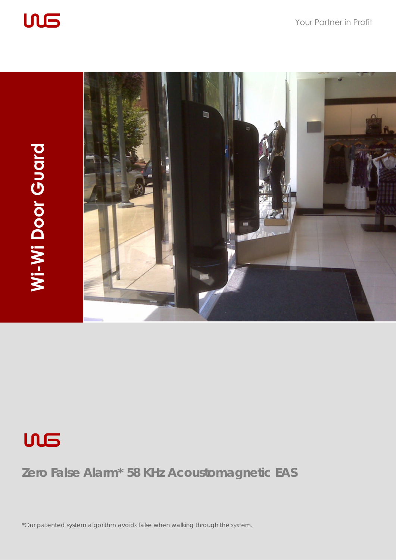





# **Zero False Alarm\* 58 KHz Acoustomagnetic EAS**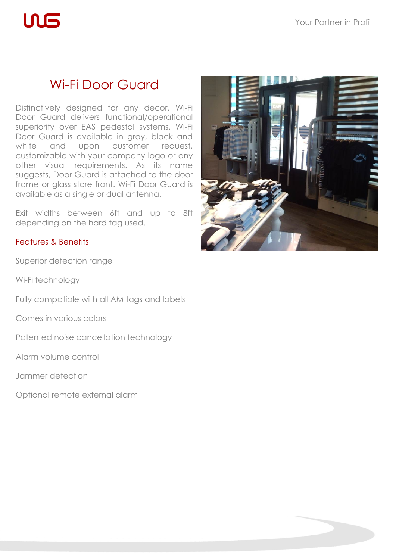$\mathsf{L}\mathsf{L}\mathsf{L}$ 

# Wi-Fi Door Guard

Distinctively designed for any decor, Wi-Fi Door Guard delivers functional/operational superiority over EAS pedestal systems. Wi-Fi Door Guard is available in gray, black and white and upon customer request, customizable with your company logo or any other visual requirements. As its name suggests, Door Guard is attached to the door frame or glass store front. Wi-Fi Door Guard is available as a single or dual antenna.

Exit widths between 6ft and up to 8ft depending on the hard tag used.

## Features & Benefits

Superior detection range

Wi-Fi technology

Fully compatible with all AM tags and labels

Comes in various colors

Patented noise cancellation technology

Alarm volume control

Jammer detection

Optional remote external alarm

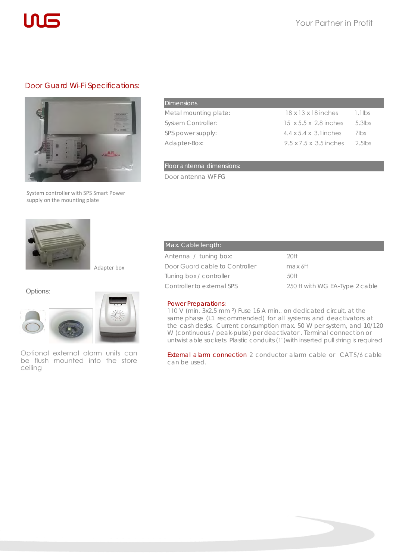

### Door Guard Wi-Fi Specifications:



System controller with SPS Smart Power supply on the mounting plate

| Dimensions:               |                                     |           |
|---------------------------|-------------------------------------|-----------|
| Metal mounting plate:     | $18 \times 13 \times 18$ inches     | $1.1$ lbs |
| <b>System Controller:</b> | $15 \times 5.5 \times 2.8$ inches   | $5.3$ lbs |
| SPS power supply:         | $4.4 \times 5.4 \times 3$ . linches | 7lbs      |
| Adapter-Box:              | $9.5 \times 7.5 \times 3.5$ inches  | $2.5$ lbs |

Floor antenna dimensions:

Door antenna WF FG



Adapter box



Optional external alarm units can be flush mounted into the store ceiling

# Max. Cable length: Antenna / tuning box: 20ft Door Guard cable to Controller max 6ft Tuning box / controller 50ft Controller to external SPS 250 ft with WG EA-Type 2 cable

#### Power Preparations:

110 V (min. 3x2.5 mm ²) Fuse 16 A min.. on dedicated circuit, at the same phase (L1 recommended) for all systems and deactivators at the cash desks. Current consumption max. 50 W per system, and 10/120 W (continuous / peak-pulse) per deactivator . Terminal connection or untwist able sockets. Plastic conduits (1")with inserted pull string is required

External alarm connection 2 conductor alarm cable or CAT 5/6 cable can be used.